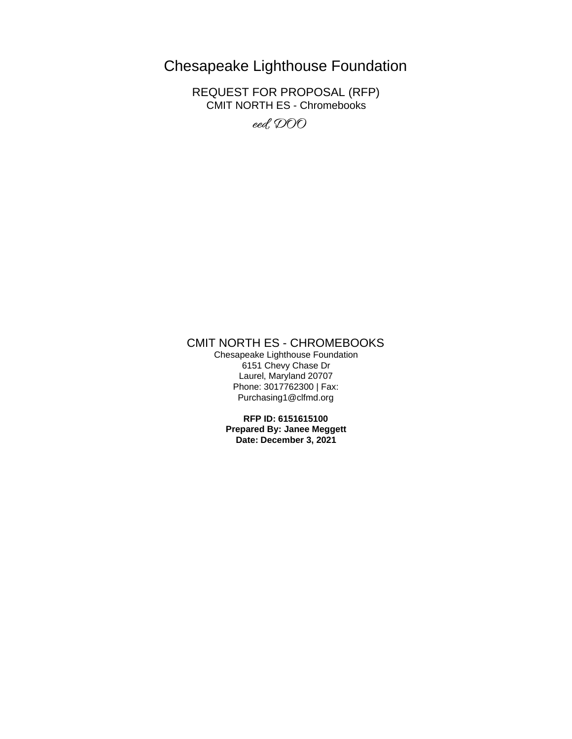# Chesapeake Lighthouse Foundation

REQUEST FOR PROPOSAL (RFP) CMIT NORTH ES - Chromebooks eed, DOO

# CMIT NORTH ES - CHROMEBOOKS

Chesapeake Lighthouse Foundation 6151 Chevy Chase Dr Laurel, Maryland 20707 Phone: 3017762300 | Fax: Purchasing1@clfmd.org

> **RFP ID: 6151615100 Prepared By: Janee Meggett Date: December 3, 2021**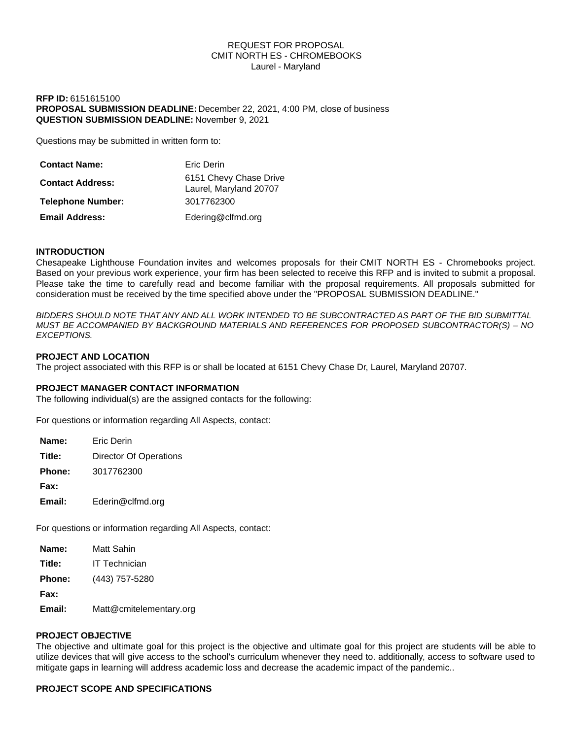### REQUEST FOR PROPOSAL CMIT NORTH ES - CHROMEBOOKS Laurel - Maryland

### **RFP ID:** 6151615100 **PROPOSAL SUBMISSION DEADLINE:** December 22, 2021, 4:00 PM, close of business **QUESTION SUBMISSION DEADLINE:** November 9, 2021

Questions may be submitted in written form to:

| <b>Contact Name:</b>     | Eric Derin                                       |
|--------------------------|--------------------------------------------------|
| <b>Contact Address:</b>  | 6151 Chevy Chase Drive<br>Laurel, Maryland 20707 |
| <b>Telephone Number:</b> | 3017762300                                       |
| <b>Email Address:</b>    | Edering@clfmd.org                                |

### **INTRODUCTION**

Chesapeake Lighthouse Foundation invites and welcomes proposals for their CMIT NORTH ES - Chromebooks project. Based on your previous work experience, your firm has been selected to receive this RFP and is invited to submit a proposal. Please take the time to carefully read and become familiar with the proposal requirements. All proposals submitted for consideration must be received by the time specified above under the "PROPOSAL SUBMISSION DEADLINE."

*BIDDERS SHOULD NOTE THAT ANY AND ALL WORK INTENDED TO BE SUBCONTRACTED AS PART OF THE BID SUBMITTAL MUST BE ACCOMPANIED BY BACKGROUND MATERIALS AND REFERENCES FOR PROPOSED SUBCONTRACTOR(S) – NO EXCEPTIONS.*

### **PROJECT AND LOCATION**

The project associated with this RFP is or shall be located at 6151 Chevy Chase Dr, Laurel, Maryland 20707.

### **PROJECT MANAGER CONTACT INFORMATION**

The following individual(s) are the assigned contacts for the following:

For questions or information regarding All Aspects, contact:

| Name:         | <b>Fric Derin</b>             |
|---------------|-------------------------------|
| Title:        | <b>Director Of Operations</b> |
| <b>Phone:</b> | 3017762300                    |
| Fax:          |                               |
| Email:        | Ederin@clfmd.org              |

For questions or information regarding All Aspects, contact:

| Name:         | Matt Sahin              |
|---------------|-------------------------|
| Title:        | <b>IT Technician</b>    |
| <b>Phone:</b> | (443) 757-5280          |
| Fax:          |                         |
| Email:        | Matt@cmitelementary.org |

### **PROJECT OBJECTIVE**

The objective and ultimate goal for this project is the objective and ultimate goal for this project are students will be able to utilize devices that will give access to the school's curriculum whenever they need to. additionally, access to software used to mitigate gaps in learning will address academic loss and decrease the academic impact of the pandemic..

### **PROJECT SCOPE AND SPECIFICATIONS**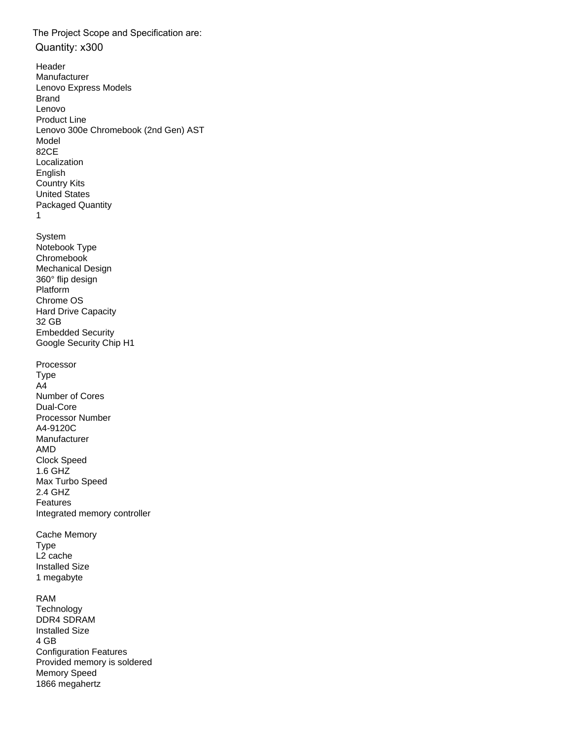The Project Scope and Specification are:

# Quantity: x300

- Header Manufacturer Lenovo Express Models Brand Lenovo Product Line Lenovo 300e Chromebook (2nd Gen) AST Model 82CE Localization English Country Kits United States Packaged Quantity 1
- System Notebook Type Chromebook Mechanical Design 360° flip design Platform Chrome OS Hard Drive Capacity 32 GB Embedded Security Google Security Chip H1
- Processor Type A4 Number of Cores Dual-Core Processor Number A4-9120C Manufacturer AMD Clock Speed 1.6 GHZ Max Turbo Speed 2.4 GHZ Features Integrated memory controller
- Cache Memory Type L2 cache Installed Size 1 megabyte

### RAM

Technology DDR4 SDRAM Installed Size 4 GB Configuration Features Provided memory is soldered Memory Speed 1866 megahertz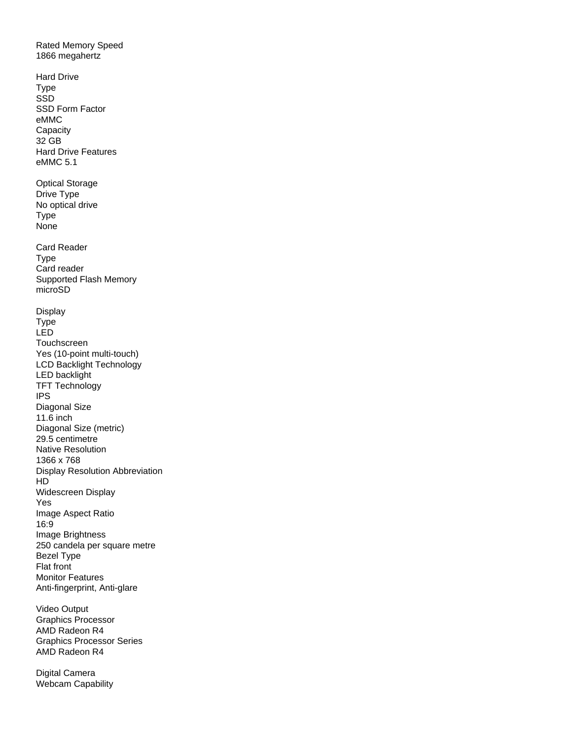Rated Memory Speed 1866 megahertz

Hard Drive Type **SSD** SSD Form Factor eMMC Capacity 32 GB Hard Drive Features eMMC 5.1 Optical Storage Drive Type No optical drive Type None Card Reader Type Card reader Supported Flash Memory microSD Display Type LED Touchscreen Yes (10-point multi-touch) LCD Backlight Technology LED backlight TFT Technology IPS Diagonal Size 11.6 inch Diagonal Size (metric) 29.5 centimetre Native Resolution 1366 x 768 Display Resolution Abbreviation HD Widescreen Display Yes Image Aspect Ratio 16:9 Image Brightness 250 candela per square metre Bezel Type Flat front Monitor Features Anti-fingerprint, Anti-glare

Video Output Graphics Processor AMD Radeon R4 Graphics Processor Series AMD Radeon R4

Digital Camera Webcam Capability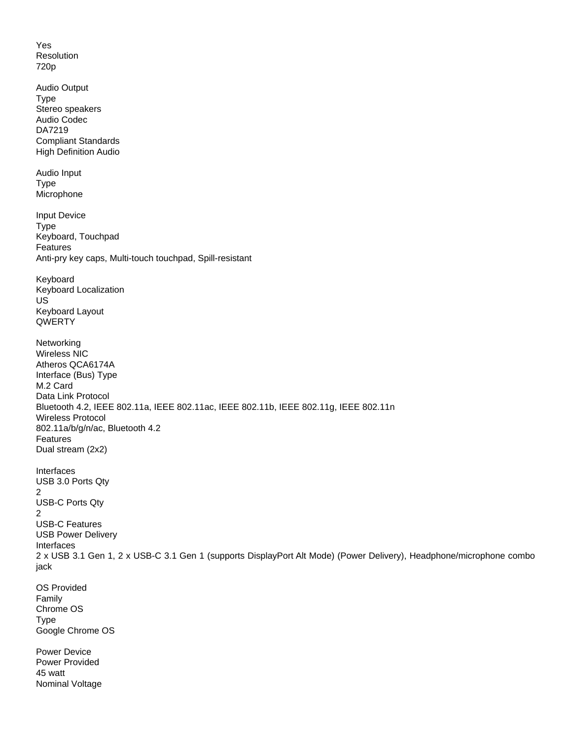Yes Resolution 720p Audio Output Type Stereo speakers Audio Codec DA7219 Compliant Standards High Definition Audio Audio Input Type Microphone Input Device Type Keyboard, Touchpad Features Anti-pry key caps, Multi-touch touchpad, Spill-resistant Keyboard Keyboard Localization US Keyboard Layout **QWERTY** Networking Wireless NIC Atheros QCA6174A Interface (Bus) Type M.2 Card Data Link Protocol Bluetooth 4.2, IEEE 802.11a, IEEE 802.11ac, IEEE 802.11b, IEEE 802.11g, IEEE 802.11n Wireless Protocol 802.11a/b/g/n/ac, Bluetooth 4.2 Features Dual stream (2x2) Interfaces USB 3.0 Ports Qty 2 USB-C Ports Qty 2 USB-C Features USB Power Delivery Interfaces 2 x USB 3.1 Gen 1, 2 x USB-C 3.1 Gen 1 (supports DisplayPort Alt Mode) (Power Delivery), Headphone/microphone combo jack OS Provided Family Chrome OS Type Google Chrome OS Power Device Power Provided 45 watt Nominal Voltage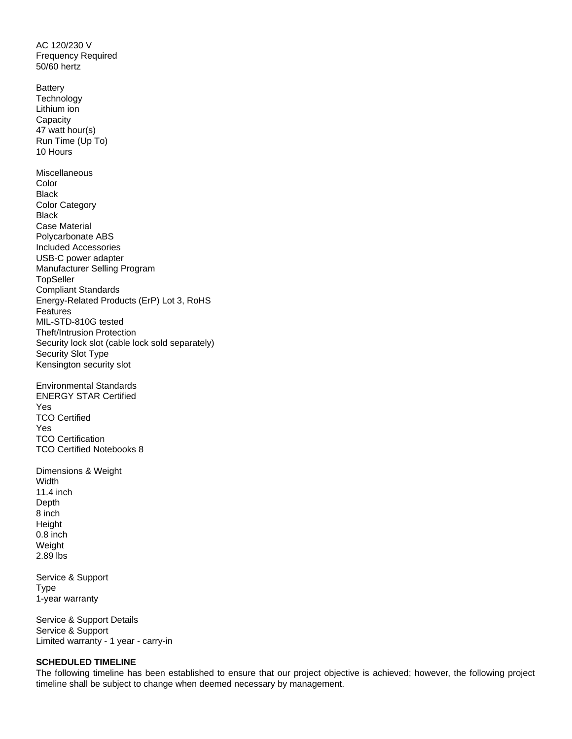AC 120/230 V Frequency Required 50/60 hertz **Battery Technology** Lithium ion **Capacity** 47 watt hour(s) Run Time (Up To) 10 Hours Miscellaneous Color Black Color Category Black Case Material Polycarbonate ABS Included Accessories USB-C power adapter Manufacturer Selling Program **TopSeller** Compliant Standards Energy-Related Products (ErP) Lot 3, RoHS Features MIL-STD-810G tested Theft/Intrusion Protection Security lock slot (cable lock sold separately) Security Slot Type Kensington security slot Environmental Standards ENERGY STAR Certified Yes TCO Certified Yes TCO Certification TCO Certified Notebooks 8 Dimensions & Weight Width 11.4 inch Depth 8 inch Height 0.8 inch Weight 2.89 lbs

Service & Support Type 1-year warranty

Service & Support Details Service & Support Limited warranty - 1 year - carry-in

### **SCHEDULED TIMELINE**

The following timeline has been established to ensure that our project objective is achieved; however, the following project timeline shall be subject to change when deemed necessary by management.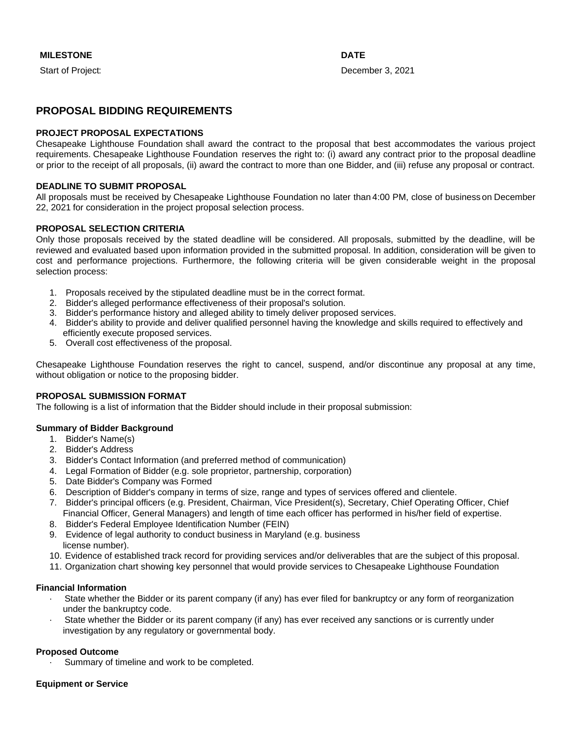Start of Project: **December 3, 2021** 

# **PROPOSAL BIDDING REQUIREMENTS**

### **PROJECT PROPOSAL EXPECTATIONS**

Chesapeake Lighthouse Foundation shall award the contract to the proposal that best accommodates the various project requirements. Chesapeake Lighthouse Foundation reserves the right to: (i) award any contract prior to the proposal deadline or prior to the receipt of all proposals, (ii) award the contract to more than one Bidder, and (iii) refuse any proposal or contract.

### **DEADLINE TO SUBMIT PROPOSAL**

All proposals must be received by Chesapeake Lighthouse Foundation no later than 4:00 PM, close of business on December 22, 2021 for consideration in the project proposal selection process.

### **PROPOSAL SELECTION CRITERIA**

Only those proposals received by the stated deadline will be considered. All proposals, submitted by the deadline, will be reviewed and evaluated based upon information provided in the submitted proposal. In addition, consideration will be given to cost and performance projections. Furthermore, the following criteria will be given considerable weight in the proposal selection process:

- 1. Proposals received by the stipulated deadline must be in the correct format.
- 2. Bidder's alleged performance effectiveness of their proposal's solution.
- 3. Bidder's performance history and alleged ability to timely deliver proposed services.
- 4. Bidder's ability to provide and deliver qualified personnel having the knowledge and skills required to effectively and efficiently execute proposed services.
- 5. Overall cost effectiveness of the proposal.

Chesapeake Lighthouse Foundation reserves the right to cancel, suspend, and/or discontinue any proposal at any time, without obligation or notice to the proposing bidder.

### **PROPOSAL SUBMISSION FORMAT**

The following is a list of information that the Bidder should include in their proposal submission:

### **Summary of Bidder Background**

- 1. Bidder's Name(s)
- 2. Bidder's Address
- 3. Bidder's Contact Information (and preferred method of communication)
- 4. Legal Formation of Bidder (e.g. sole proprietor, partnership, corporation)
- 5. Date Bidder's Company was Formed
- 6. Description of Bidder's company in terms of size, range and types of services offered and clientele.
- 7. Bidder's principal officers (e.g. President, Chairman, Vice President(s), Secretary, Chief Operating Officer, Chief Financial Officer, General Managers) and length of time each officer has performed in his/her field of expertise.
- 8. Bidder's Federal Employee Identification Number (FEIN)
- 9. Evidence of legal authority to conduct business in Maryland (e.g. business license number).
- 10. Evidence of established track record for providing services and/or deliverables that are the subject of this proposal.
- 11. Organization chart showing key personnel that would provide services to Chesapeake Lighthouse Foundation

### **Financial Information**

- State whether the Bidder or its parent company (if any) has ever filed for bankruptcy or any form of reorganization under the bankruptcy code.
- State whether the Bidder or its parent company (if any) has ever received any sanctions or is currently under investigation by any regulatory or governmental body.

### **Proposed Outcome**

Summary of timeline and work to be completed.

# **Equipment or Service**